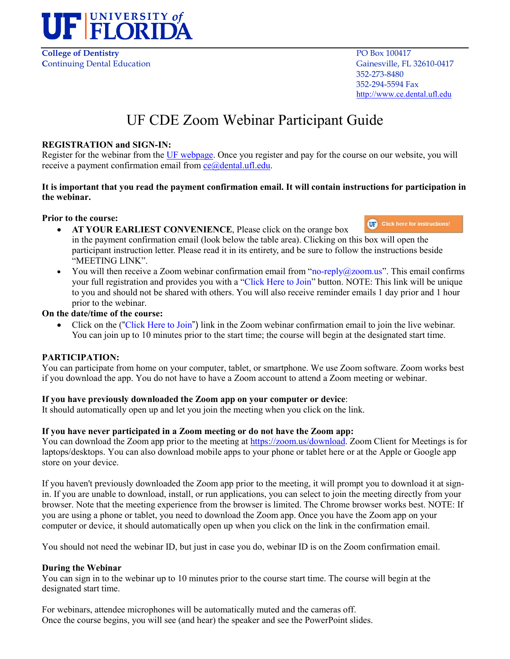

**College of Dentistry**  PO Box 100417 **Continuing Dental Education** Gainesville, FL 32610-0417

 352-273-8480 352-294-5594 Fax [http://www.ce.dental.ufl.edu](http://www.ce.dental.ufl.edu/)

# UF CDE Zoom Webinar Participant Guide

#### **REGISTRATION and SIGN-IN:**

Register for the webinar from the [UF webpage.](https://ce.dental.ufl.edu/courses/) Once you register and pay for the course on our website, you will receive a payment confirmation email from  $ce@dt$  dental.ufl.edu.

#### **It is important that you read the payment confirmation email. It will contain instructions for participation in the webinar.**

#### **Prior to the course:**

- **UP** Click here for instructions! • **AT YOUR EARLIEST CONVENIENCE**, Please click on the orange box in the payment confirmation email (look below the table area). Clicking on this box will open the participant instruction letter. Please read it in its entirety, and be sure to follow the instructions beside "MEETING LINK".
- You will then receive a Zoom webinar confirmation email from "no-reply@zoom.us". This email confirms your full registration and provides you with a "Click Here to Join" button. NOTE: This link will be unique to you and should not be shared with others. You will also receive reminder emails 1 day prior and 1 hour prior to the webinar.

#### **On the date/time of the course:**

• Click on the ("Click Here to Join") link in the Zoom webinar confirmation email to join the live webinar. You can join up to 10 minutes prior to the start time; the course will begin at the designated start time.

# **PARTICIPATION:**

You can participate from home on your computer, tablet, or smartphone. We use Zoom software. Zoom works best if you download the app. You do not have to have a Zoom account to attend a Zoom meeting or webinar.

# **If you have previously downloaded the Zoom app on your computer or device**:

It should automatically open up and let you join the meeting when you click on the link.

# **If you have never participated in a Zoom meeting or do not have the Zoom app:**

You can download the Zoom app prior to the meeting at [https://zoom.us/download.](https://zoom.us/download) Zoom Client for Meetings is for laptops/desktops. You can also download mobile apps to your phone or tablet here or at the Apple or Google app store on your device.

If you haven't previously downloaded the Zoom app prior to the meeting, it will prompt you to download it at signin. If you are unable to download, install, or run applications, you can select to join the meeting directly from your browser. Note that the meeting experience from the browser is limited. The Chrome browser works best. NOTE: If you are using a phone or tablet, you need to download the Zoom app. Once you have the Zoom app on your computer or device, it should automatically open up when you click on the link in the confirmation email.

You should not need the webinar ID, but just in case you do, webinar ID is on the Zoom confirmation email.

# **During the Webinar**

You can sign in to the webinar up to 10 minutes prior to the course start time. The course will begin at the designated start time.

For webinars, attendee microphones will be automatically muted and the cameras off. Once the course begins, you will see (and hear) the speaker and see the PowerPoint slides.